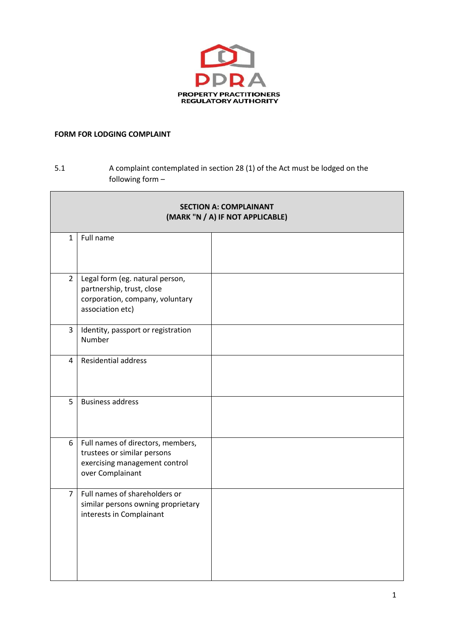

## **FORM FOR LODGING COMPLAINT**

## 5.1 A complaint contemplated in section 28 (1) of the Act must be lodged on the following form –

| <b>SECTION A: COMPLAINANT</b><br>(MARK "N / A) IF NOT APPLICABLE) |                                                                                                                       |  |
|-------------------------------------------------------------------|-----------------------------------------------------------------------------------------------------------------------|--|
| $\mathbf{1}$                                                      | Full name                                                                                                             |  |
| $\overline{2}$                                                    | Legal form (eg. natural person,<br>partnership, trust, close<br>corporation, company, voluntary<br>association etc)   |  |
| 3                                                                 | Identity, passport or registration<br>Number                                                                          |  |
| 4                                                                 | <b>Residential address</b>                                                                                            |  |
| 5                                                                 | <b>Business address</b>                                                                                               |  |
| 6                                                                 | Full names of directors, members,<br>trustees or similar persons<br>exercising management control<br>over Complainant |  |
| $\overline{7}$                                                    | Full names of shareholders or<br>similar persons owning proprietary<br>interests in Complainant                       |  |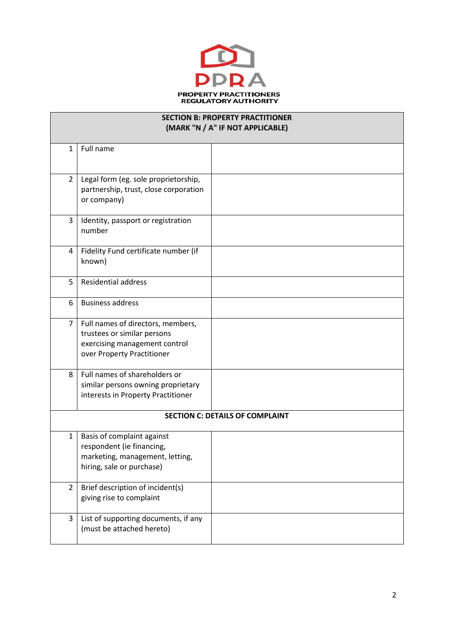

| <b>SECTION B: PROPERTY PRACTITIONER</b><br>(MARK "N / A" IF NOT APPLICABLE) |                                                                                                                                 |  |  |  |
|-----------------------------------------------------------------------------|---------------------------------------------------------------------------------------------------------------------------------|--|--|--|
| $\mathbf{1}$                                                                | Full name                                                                                                                       |  |  |  |
| $\overline{2}$                                                              | Legal form (eg. sole proprietorship,<br>partnership, trust, close corporation<br>or company)                                    |  |  |  |
| 3                                                                           | Identity, passport or registration<br>number                                                                                    |  |  |  |
| 4                                                                           | Fidelity Fund certificate number (if<br>known)                                                                                  |  |  |  |
| 5                                                                           | <b>Residential address</b>                                                                                                      |  |  |  |
| 6                                                                           | <b>Business address</b>                                                                                                         |  |  |  |
| 7                                                                           | Full names of directors, members,<br>trustees or similar persons<br>exercising management control<br>over Property Practitioner |  |  |  |
| 8                                                                           | Full names of shareholders or<br>similar persons owning proprietary<br>interests in Property Practitioner                       |  |  |  |
| <b>SECTION C: DETAILS OF COMPLAINT</b>                                      |                                                                                                                                 |  |  |  |
| $\mathbf{1}$                                                                | Basis of complaint against<br>respondent (ie financing,<br>marketing, management, letting,<br>hiring, sale or purchase)         |  |  |  |
| $\overline{2}$                                                              | Brief description of incident(s)<br>giving rise to complaint                                                                    |  |  |  |
| 3                                                                           | List of supporting documents, if any<br>(must be attached hereto)                                                               |  |  |  |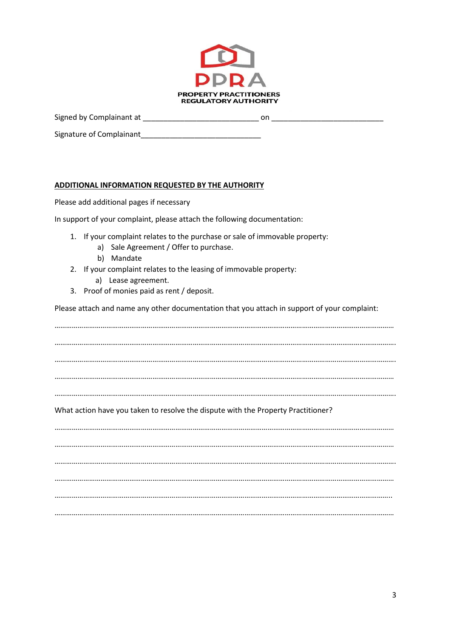

Signed by Complainant at \_\_\_\_\_\_\_\_\_\_\_\_\_\_\_\_\_\_\_\_\_\_\_\_\_\_\_\_ on \_\_\_\_\_\_\_\_\_\_\_\_\_\_\_\_\_\_\_\_\_\_\_\_\_\_\_

Signature of Complainant

## **ADDITIONAL INFORMATION REQUESTED BY THE AUTHORITY**

Please add additional pages if necessary

In support of your complaint, please attach the following documentation:

- 1. If your complaint relates to the purchase or sale of immovable property:
	- a) Sale Agreement / Offer to purchase.
	- b) Mandate
- 2. If your complaint relates to the leasing of immovable property:
	- a) Lease agreement.
- 3. Proof of monies paid as rent / deposit.

Please attach and name any other documentation that you attach in support of your complaint:

…………………………………………………………………………………………………………………………………………………………… ……………………………………………………………………………………………………………………………………………………………. ……………………………………………………………………………………………………………………………………………………………. …………………………………………………………………………………………………………………………………………………………… …………………………………………………………………………………………………………………………………………………………….

## What action have you taken to resolve the dispute with the Property Practitioner?

…………………………………………………………………………………………………………………………………………………………… …………………………………………………………………………………………………………………………………………………………… ……………………………………………………………………………………………………………………………………………………………. …………………………………………………………………………………………………………………………………………………………… ………………………………………………………………………………………………………………………………………………………….. ……………………………………………………………………………………………………………………………………………………………